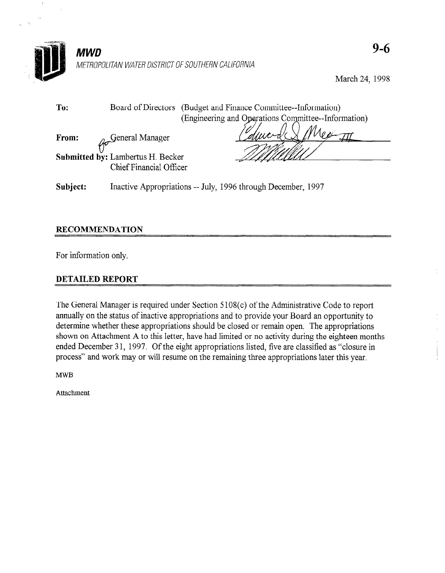

Subject: Inactive Appropriations -- July, 1996 through December, 1997

## RECOMMENDATION

For information only.

## DETAILED REPORT

 $T$  General Manager is required under Section 5 108(c) of the Administrative Code to  $\sigma$ and status of inactive appropriations appropriately of the Administrative Code to report annually on the status of inactive appropriations and to provide your Board an opportunity to determine whether these appropriations should be closed or remain open. The appropriations shown on Attachment A to this letter, have had limited or no activity during the eighteen months ended December 31, 1997. Of the eight appropriations listed, five are classified as "closure in process" and work may or will resume on the remaining three appropriations later this year.

à.

**MWB**